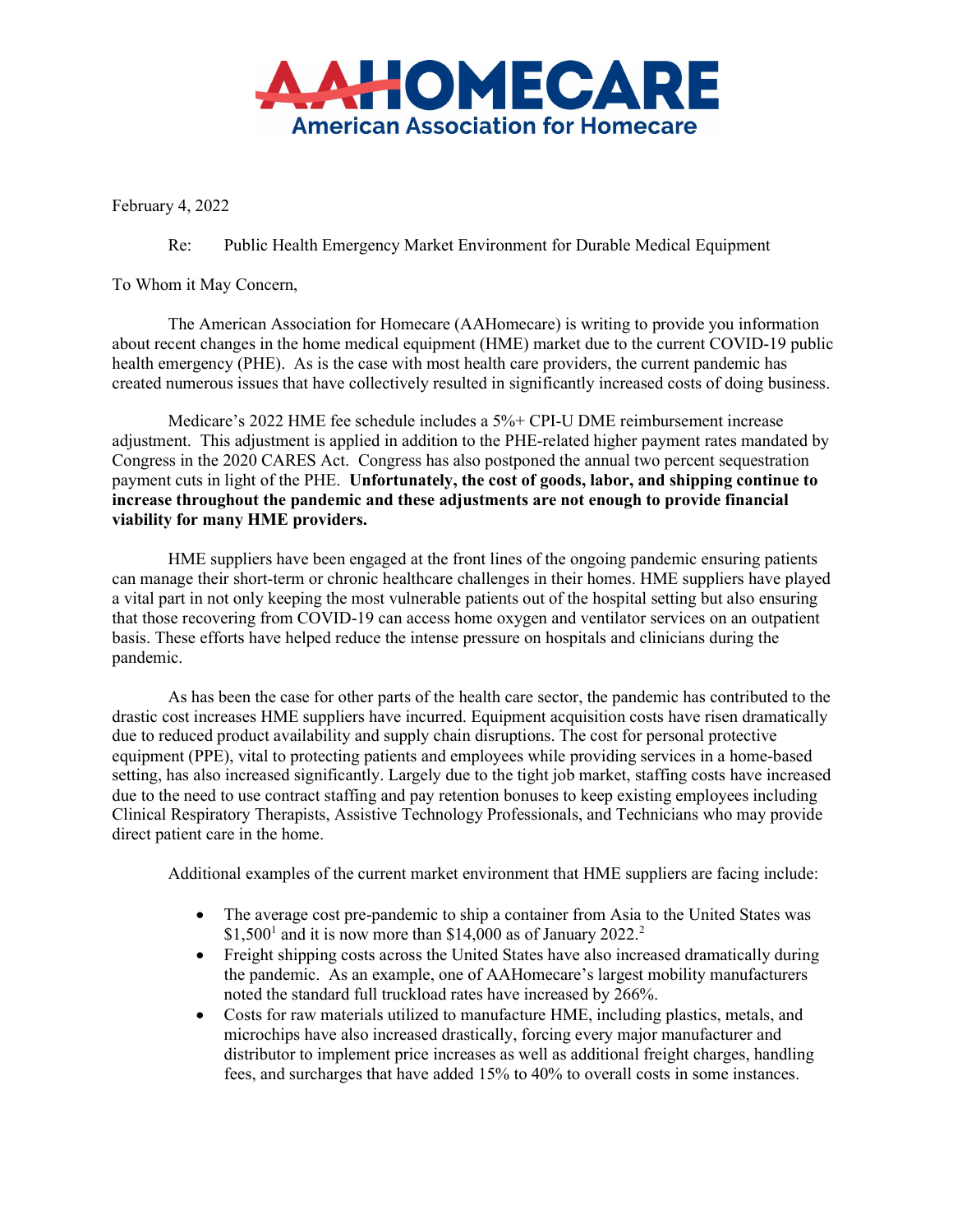

February 4, 2022

Re: Public Health Emergency Market Environment for Durable Medical Equipment

To Whom it May Concern,

The American Association for Homecare (AAHomecare) is writing to provide you information about recent changes in the home medical equipment (HME) market due to the current COVID-19 public health emergency (PHE). As is the case with most health care providers, the current pandemic has created numerous issues that have collectively resulted in significantly increased costs of doing business.

Medicare's 2022 HME fee schedule includes a 5%+ CPI-U DME reimbursement increase adjustment. This adjustment is applied in addition to the PHE-related higher payment rates mandated by Congress in the 2020 CARES Act. Congress has also postponed the annual two percent sequestration payment cuts in light of the PHE. Unfortunately, the cost of goods, labor, and shipping continue to increase throughout the pandemic and these adjustments are not enough to provide financial viability for many HME providers.

HME suppliers have been engaged at the front lines of the ongoing pandemic ensuring patients can manage their short-term or chronic healthcare challenges in their homes. HME suppliers have played a vital part in not only keeping the most vulnerable patients out of the hospital setting but also ensuring that those recovering from COVID-19 can access home oxygen and ventilator services on an outpatient basis. These efforts have helped reduce the intense pressure on hospitals and clinicians during the pandemic.

As has been the case for other parts of the health care sector, the pandemic has contributed to the drastic cost increases HME suppliers have incurred. Equipment acquisition costs have risen dramatically due to reduced product availability and supply chain disruptions. The cost for personal protective equipment (PPE), vital to protecting patients and employees while providing services in a home-based setting, has also increased significantly. Largely due to the tight job market, staffing costs have increased due to the need to use contract staffing and pay retention bonuses to keep existing employees including Clinical Respiratory Therapists, Assistive Technology Professionals, and Technicians who may provide direct patient care in the home.

Additional examples of the current market environment that HME suppliers are facing include:

- The average cost pre-pandemic to ship a container from Asia to the United States was \$1,500<sup>1</sup> and it is now more than \$14,000 as of January 2022.<sup>2</sup>
- Freight shipping costs across the United States have also increased dramatically during the pandemic. As an example, one of AAHomecare's largest mobility manufacturers noted the standard full truckload rates have increased by 266%.
- Costs for raw materials utilized to manufacture HME, including plastics, metals, and microchips have also increased drastically, forcing every major manufacturer and distributor to implement price increases as well as additional freight charges, handling fees, and surcharges that have added 15% to 40% to overall costs in some instances.